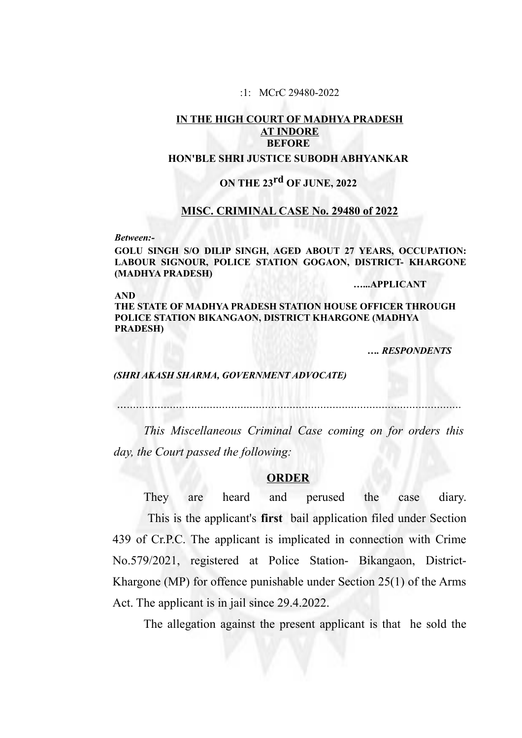#### :1: MCrC 29480-2022

# **IN THE HIGH COURT OF MADHYA PRADESH AT INDORE BEFORE**

## **HON'BLE SHRI JUSTICE SUBODH ABHYANKAR**

# **ON THE 23rd OF JUNE, 2022**

#### **MISC. CRIMINAL CASE No. 29480 of 2022**

*Between:-*

**GOLU SINGH S/O DILIP SINGH, AGED ABOUT 27 YEARS, OCCUPATION: LABOUR SIGNOUR, POLICE STATION GOGAON, DISTRICT- KHARGONE (MADHYA PRADESH)**

**…...APPLICANT**

**AND THE STATE OF MADHYA PRADESH STATION HOUSE OFFICER THROUGH POLICE STATION BIKANGAON, DISTRICT KHARGONE (MADHYA PRADESH)**

 *…. RESPONDENTS*

#### *(SHRI AKASH SHARMA, GOVERNMENT ADVOCATE)*

*….............................................................................................................*

*This Miscellaneous Criminal Case coming on for orders this day, the Court passed the following:*

#### **ORDER**

They are heard and perused the case diary. This is the applicant's **first** bail application filed under Section 439 of Cr.P.C. The applicant is implicated in connection with Crime No.579/2021, registered at Police Station- Bikangaon, District-Khargone (MP) for offence punishable under Section 25(1) of the Arms Act. The applicant is in jail since 29.4.2022.

The allegation against the present applicant is that he sold the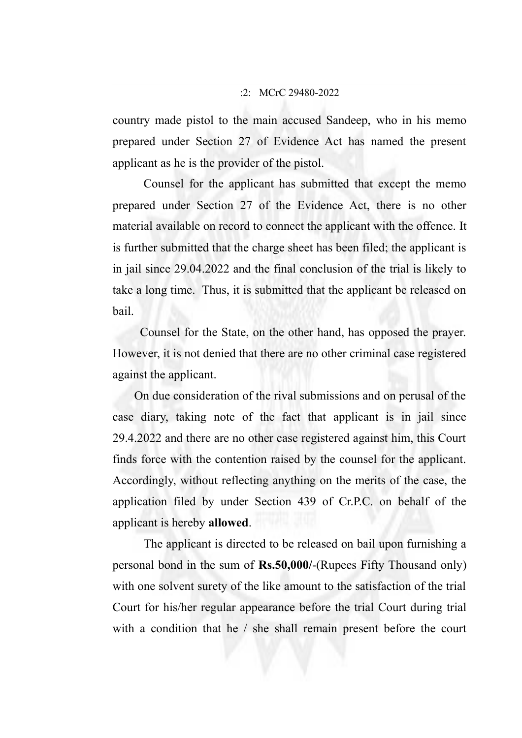### :2: MCrC 29480-2022

country made pistol to the main accused Sandeep, who in his memo prepared under Section 27 of Evidence Act has named the present applicant as he is the provider of the pistol.

Counsel for the applicant has submitted that except the memo prepared under Section 27 of the Evidence Act, there is no other material available on record to connect the applicant with the offence. It is further submitted that the charge sheet has been filed; the applicant is in jail since 29.04.2022 and the final conclusion of the trial is likely to take a long time. Thus, it is submitted that the applicant be released on bail.

 Counsel for the State, on the other hand, has opposed the prayer. However, it is not denied that there are no other criminal case registered against the applicant.

 On due consideration of the rival submissions and on perusal of the case diary, taking note of the fact that applicant is in jail since 29.4.2022 and there are no other case registered against him, this Court finds force with the contention raised by the counsel for the applicant. Accordingly, without reflecting anything on the merits of the case, the application filed by under Section 439 of Cr.P.C. on behalf of the applicant is hereby **allowed**.

The applicant is directed to be released on bail upon furnishing a personal bond in the sum of **Rs.50,000/**-(Rupees Fifty Thousand only) with one solvent surety of the like amount to the satisfaction of the trial Court for his/her regular appearance before the trial Court during trial with a condition that he / she shall remain present before the court